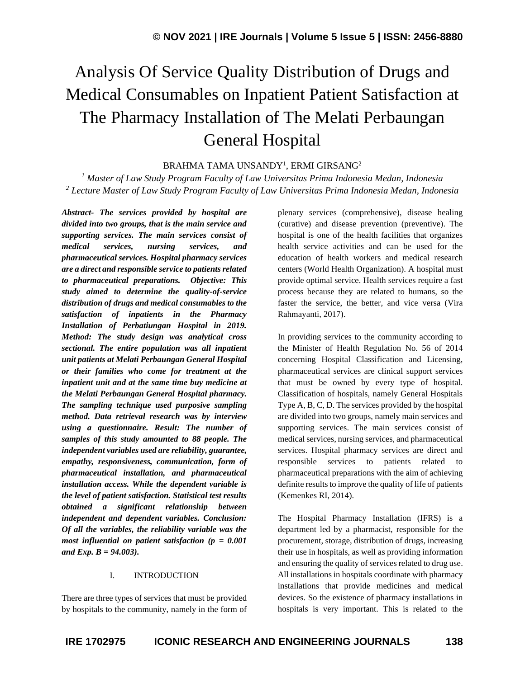# Analysis Of Service Quality Distribution of Drugs and Medical Consumables on Inpatient Patient Satisfaction at The Pharmacy Installation of The Melati Perbaungan General Hospital

# BRAHMA TAMA UNSANDY<sup>1</sup>, ERMI GIRSANG<sup>2</sup>

*<sup>1</sup> Master of Law Study Program Faculty of Law Universitas Prima Indonesia Medan, Indonesia <sup>2</sup> Lecture Master of Law Study Program Faculty of Law Universitas Prima Indonesia Medan, Indonesia*

*Abstract- The services provided by hospital are divided into two groups, that is the main service and supporting services. The main services consist of medical services, nursing services, and pharmaceutical services. Hospital pharmacy services are a direct and responsible service to patients related to pharmaceutical preparations. Objective: This study aimed to determine the quality-of-service distribution of drugs and medical consumables to the satisfaction of inpatients in the Pharmacy Installation of Perbatiungan Hospital in 2019. Method: The study design was analytical cross sectional. The entire population was all inpatient unit patients at Melati Perbaungan General Hospital or their families who come for treatment at the inpatient unit and at the same time buy medicine at the Melati Perbaungan General Hospital pharmacy. The sampling technique used purposive sampling method. Data retrieval research was by interview using a questionnaire. Result: The number of samples of this study amounted to 88 people. The independent variables used are reliability, guarantee, empathy, responsiveness, communication, form of pharmaceutical installation, and pharmaceutical installation access. While the dependent variable is the level of patient satisfaction. Statistical test results obtained a significant relationship between independent and dependent variables. Conclusion: Of all the variables, the reliability variable was the most influential on patient satisfaction (p = 0.001 and Exp. B = 94.003).*

## I. INTRODUCTION

There are three types of services that must be provided by hospitals to the community, namely in the form of plenary services (comprehensive), disease healing (curative) and disease prevention (preventive). The hospital is one of the health facilities that organizes health service activities and can be used for the education of health workers and medical research centers (World Health Organization). A hospital must provide optimal service. Health services require a fast process because they are related to humans, so the faster the service, the better, and vice versa (Vira Rahmayanti, 2017).

In providing services to the community according to the Minister of Health Regulation No. 56 of 2014 concerning Hospital Classification and Licensing, pharmaceutical services are clinical support services that must be owned by every type of hospital. Classification of hospitals, namely General Hospitals Type A, B, C, D. The services provided by the hospital are divided into two groups, namely main services and supporting services. The main services consist of medical services, nursing services, and pharmaceutical services. Hospital pharmacy services are direct and responsible services to patients related to pharmaceutical preparations with the aim of achieving definite results to improve the quality of life of patients (Kemenkes RI, 2014).

The Hospital Pharmacy Installation (IFRS) is a department led by a pharmacist, responsible for the procurement, storage, distribution of drugs, increasing their use in hospitals, as well as providing information and ensuring the quality of services related to drug use. All installations in hospitals coordinate with pharmacy installations that provide medicines and medical devices. So the existence of pharmacy installations in hospitals is very important. This is related to the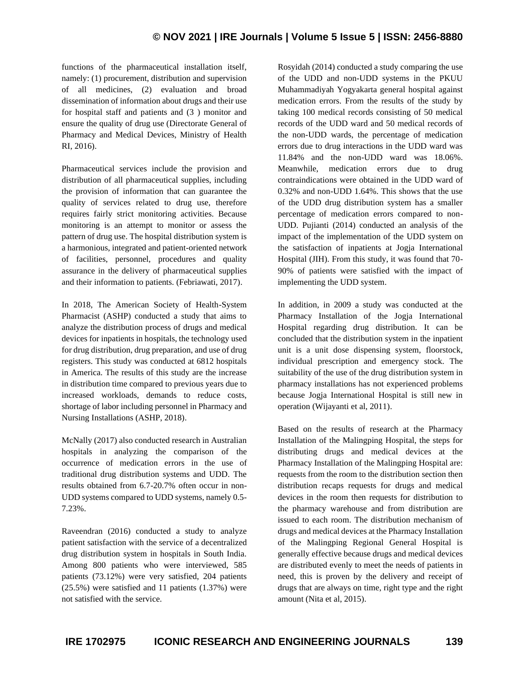functions of the pharmaceutical installation itself, namely: (1) procurement, distribution and supervision of all medicines, (2) evaluation and broad dissemination of information about drugs and their use for hospital staff and patients and (3 ) monitor and ensure the quality of drug use (Directorate General of Pharmacy and Medical Devices, Ministry of Health RI, 2016).

Pharmaceutical services include the provision and distribution of all pharmaceutical supplies, including the provision of information that can guarantee the quality of services related to drug use, therefore requires fairly strict monitoring activities. Because monitoring is an attempt to monitor or assess the pattern of drug use. The hospital distribution system is a harmonious, integrated and patient-oriented network of facilities, personnel, procedures and quality assurance in the delivery of pharmaceutical supplies and their information to patients. (Febriawati, 2017).

In 2018, The American Society of Health-System Pharmacist (ASHP) conducted a study that aims to analyze the distribution process of drugs and medical devices for inpatients in hospitals, the technology used for drug distribution, drug preparation, and use of drug registers. This study was conducted at 6812 hospitals in America. The results of this study are the increase in distribution time compared to previous years due to increased workloads, demands to reduce costs, shortage of labor including personnel in Pharmacy and Nursing Installations (ASHP, 2018).

McNally (2017) also conducted research in Australian hospitals in analyzing the comparison of the occurrence of medication errors in the use of traditional drug distribution systems and UDD. The results obtained from 6.7-20.7% often occur in non-UDD systems compared to UDD systems, namely 0.5- 7.23%.

Raveendran (2016) conducted a study to analyze patient satisfaction with the service of a decentralized drug distribution system in hospitals in South India. Among 800 patients who were interviewed, 585 patients (73.12%) were very satisfied, 204 patients (25.5%) were satisfied and 11 patients (1.37%) were not satisfied with the service.

Rosyidah (2014) conducted a study comparing the use of the UDD and non-UDD systems in the PKUU Muhammadiyah Yogyakarta general hospital against medication errors. From the results of the study by taking 100 medical records consisting of 50 medical records of the UDD ward and 50 medical records of the non-UDD wards, the percentage of medication errors due to drug interactions in the UDD ward was 11.84% and the non-UDD ward was 18.06%. Meanwhile, medication errors due to drug contraindications were obtained in the UDD ward of 0.32% and non-UDD 1.64%. This shows that the use of the UDD drug distribution system has a smaller percentage of medication errors compared to non-UDD. Pujianti (2014) conducted an analysis of the impact of the implementation of the UDD system on the satisfaction of inpatients at Jogja International Hospital (JIH). From this study, it was found that 70- 90% of patients were satisfied with the impact of implementing the UDD system.

In addition, in 2009 a study was conducted at the Pharmacy Installation of the Jogja International Hospital regarding drug distribution. It can be concluded that the distribution system in the inpatient unit is a unit dose dispensing system, floorstock, individual prescription and emergency stock. The suitability of the use of the drug distribution system in pharmacy installations has not experienced problems because Jogja International Hospital is still new in operation (Wijayanti et al, 2011).

Based on the results of research at the Pharmacy Installation of the Malingping Hospital, the steps for distributing drugs and medical devices at the Pharmacy Installation of the Malingping Hospital are: requests from the room to the distribution section then distribution recaps requests for drugs and medical devices in the room then requests for distribution to the pharmacy warehouse and from distribution are issued to each room. The distribution mechanism of drugs and medical devices at the Pharmacy Installation of the Malingping Regional General Hospital is generally effective because drugs and medical devices are distributed evenly to meet the needs of patients in need, this is proven by the delivery and receipt of drugs that are always on time, right type and the right amount (Nita et al, 2015).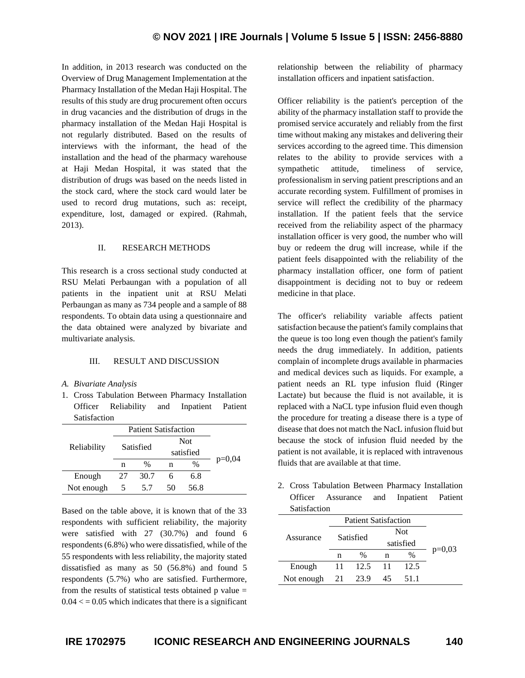In addition, in 2013 research was conducted on the Overview of Drug Management Implementation at the Pharmacy Installation of the Medan Haji Hospital. The results of this study are drug procurement often occurs in drug vacancies and the distribution of drugs in the pharmacy installation of the Medan Haji Hospital is not regularly distributed. Based on the results of interviews with the informant, the head of the installation and the head of the pharmacy warehouse at Haji Medan Hospital, it was stated that the distribution of drugs was based on the needs listed in the stock card, where the stock card would later be used to record drug mutations, such as: receipt, expenditure, lost, damaged or expired. (Rahmah, 2013).

### II. RESEARCH METHODS

This research is a cross sectional study conducted at RSU Melati Perbaungan with a population of all patients in the inpatient unit at RSU Melati Perbaungan as many as 734 people and a sample of 88 respondents. To obtain data using a questionnaire and the data obtained were analyzed by bivariate and multivariate analysis.

#### III. RESULT AND DISCUSSION

#### *A. Bivariate Analysis*

1. Cross Tabulation Between Pharmacy Installation Officer Reliability and Inpatient Patient Satisfaction

| Reliability | <b>Patient Satisfaction</b> |      |            |               |          |
|-------------|-----------------------------|------|------------|---------------|----------|
|             | Satisfied                   |      | <b>Not</b> |               |          |
|             |                             |      | satisfied  |               |          |
|             | n                           | $\%$ | n          | $\frac{0}{0}$ | $p=0,04$ |
| Enough      | 27                          | 30.7 |            | 6.8           |          |
| Not enough  | ╮                           | 5.7  | 50         | 56.8          |          |

Based on the table above, it is known that of the 33 respondents with sufficient reliability, the majority were satisfied with 27 (30.7%) and found 6 respondents (6.8%) who were dissatisfied, while of the 55 respondents with less reliability, the majority stated dissatisfied as many as 50 (56.8%) and found 5 respondents (5.7%) who are satisfied. Furthermore, from the results of statistical tests obtained  $p$  value  $=$  $0.04 \leq 0.05$  which indicates that there is a significant relationship between the reliability of pharmacy installation officers and inpatient satisfaction.

Officer reliability is the patient's perception of the ability of the pharmacy installation staff to provide the promised service accurately and reliably from the first time without making any mistakes and delivering their services according to the agreed time. This dimension relates to the ability to provide services with a sympathetic attitude, timeliness of service, professionalism in serving patient prescriptions and an accurate recording system. Fulfillment of promises in service will reflect the credibility of the pharmacy installation. If the patient feels that the service received from the reliability aspect of the pharmacy installation officer is very good, the number who will buy or redeem the drug will increase, while if the patient feels disappointed with the reliability of the pharmacy installation officer, one form of patient disappointment is deciding not to buy or redeem medicine in that place.

The officer's reliability variable affects patient satisfaction because the patient's family complains that the queue is too long even though the patient's family needs the drug immediately. In addition, patients complain of incomplete drugs available in pharmacies and medical devices such as liquids. For example, a patient needs an RL type infusion fluid (Ringer Lactate) but because the fluid is not available, it is replaced with a NaCL type infusion fluid even though the procedure for treating a disease there is a type of disease that does not match the NacL infusion fluid but because the stock of infusion fluid needed by the patient is not available, it is replaced with intravenous fluids that are available at that time.

2. Cross Tabulation Between Pharmacy Installation Officer Assurance and Inpatient Patient Satisfaction

| ------------ |           |                             |            |      |          |  |
|--------------|-----------|-----------------------------|------------|------|----------|--|
| Assurance    |           | <b>Patient Satisfaction</b> |            |      |          |  |
|              | Satisfied |                             | <b>Not</b> |      |          |  |
|              |           |                             | satisfied  |      |          |  |
|              | n         | $\%$                        | n          | $\%$ | $p=0,03$ |  |
| Enough       | 11        | 12.5                        | -11        | 12.5 |          |  |
| Not enough   | 21        | 23.9                        | 45         | 51.1 |          |  |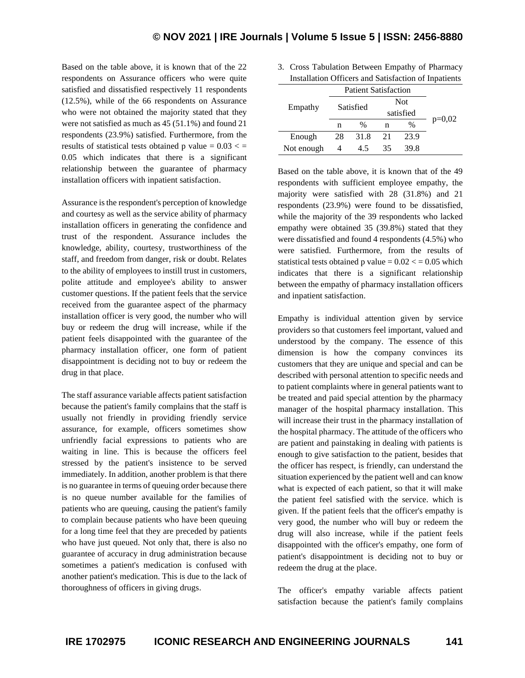Based on the table above, it is known that of the 22 respondents on Assurance officers who were quite satisfied and dissatisfied respectively 11 respondents (12.5%), while of the 66 respondents on Assurance who were not obtained the majority stated that they were not satisfied as much as 45 (51.1%) and found 21 respondents (23.9%) satisfied. Furthermore, from the results of statistical tests obtained p value =  $0.03 \lt$  = 0.05 which indicates that there is a significant relationship between the guarantee of pharmacy installation officers with inpatient satisfaction.

Assurance is the respondent's perception of knowledge and courtesy as well as the service ability of pharmacy installation officers in generating the confidence and trust of the respondent. Assurance includes the knowledge, ability, courtesy, trustworthiness of the staff, and freedom from danger, risk or doubt. Relates to the ability of employees to instill trust in customers, polite attitude and employee's ability to answer customer questions. If the patient feels that the service received from the guarantee aspect of the pharmacy installation officer is very good, the number who will buy or redeem the drug will increase, while if the patient feels disappointed with the guarantee of the pharmacy installation officer, one form of patient disappointment is deciding not to buy or redeem the drug in that place.

The staff assurance variable affects patient satisfaction because the patient's family complains that the staff is usually not friendly in providing friendly service assurance, for example, officers sometimes show unfriendly facial expressions to patients who are waiting in line. This is because the officers feel stressed by the patient's insistence to be served immediately. In addition, another problem is that there is no guarantee in terms of queuing order because there is no queue number available for the families of patients who are queuing, causing the patient's family to complain because patients who have been queuing for a long time feel that they are preceded by patients who have just queued. Not only that, there is also no guarantee of accuracy in drug administration because sometimes a patient's medication is confused with another patient's medication. This is due to the lack of thoroughness of officers in giving drugs.

3. Cross Tabulation Between Empathy of Pharmacy Installation Officers and Satisfaction of Inpatients

|            | <b>Patient Satisfaction</b> |               |            |               |          |
|------------|-----------------------------|---------------|------------|---------------|----------|
| Empathy    | Satisfied                   |               | <b>Not</b> |               |          |
|            |                             |               | satisfied  |               |          |
|            | n                           | $\frac{0}{0}$ | n          | $\frac{0}{0}$ | $p=0,02$ |
| Enough     | 28                          | 31.8          | 21         | 23.9          |          |
| Not enough |                             | 4.5           | 35         | 39.8          |          |

Based on the table above, it is known that of the 49 respondents with sufficient employee empathy, the majority were satisfied with 28 (31.8%) and 21 respondents (23.9%) were found to be dissatisfied, while the majority of the 39 respondents who lacked empathy were obtained 35 (39.8%) stated that they were dissatisfied and found 4 respondents (4.5%) who were satisfied. Furthermore, from the results of statistical tests obtained p value  $= 0.02 \le 0.05$  which indicates that there is a significant relationship between the empathy of pharmacy installation officers and inpatient satisfaction.

Empathy is individual attention given by service providers so that customers feel important, valued and understood by the company. The essence of this dimension is how the company convinces its customers that they are unique and special and can be described with personal attention to specific needs and to patient complaints where in general patients want to be treated and paid special attention by the pharmacy manager of the hospital pharmacy installation. This will increase their trust in the pharmacy installation of the hospital pharmacy. The attitude of the officers who are patient and painstaking in dealing with patients is enough to give satisfaction to the patient, besides that the officer has respect, is friendly, can understand the situation experienced by the patient well and can know what is expected of each patient, so that it will make the patient feel satisfied with the service. which is given. If the patient feels that the officer's empathy is very good, the number who will buy or redeem the drug will also increase, while if the patient feels disappointed with the officer's empathy, one form of patient's disappointment is deciding not to buy or redeem the drug at the place.

The officer's empathy variable affects patient satisfaction because the patient's family complains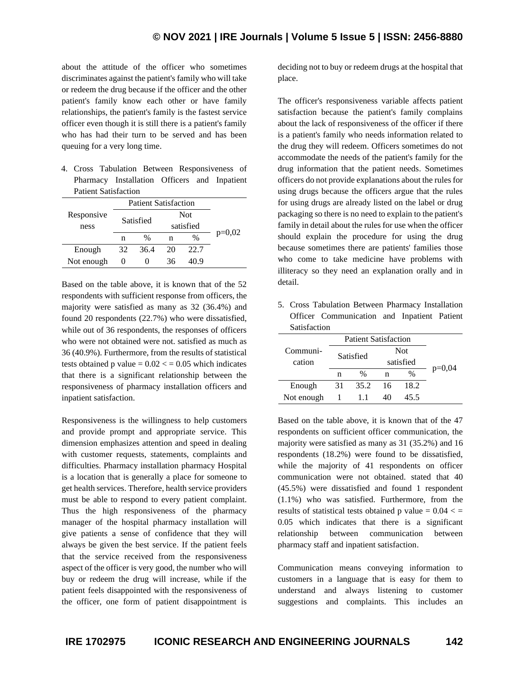about the attitude of the officer who sometimes discriminates against the patient's family who will take or redeem the drug because if the officer and the other patient's family know each other or have family relationships, the patient's family is the fastest service officer even though it is still there is a patient's family who has had their turn to be served and has been queuing for a very long time.

4. Cross Tabulation Between Responsiveness of Pharmacy Installation Officers and Inpatient Patient Satisfaction

|            | <b>Patient Satisfaction</b> |      |            |               |          |
|------------|-----------------------------|------|------------|---------------|----------|
| Responsive | Satisfied                   |      | <b>Not</b> |               |          |
| ness       |                             |      | satisfied  |               |          |
|            | n                           | $\%$ | n          | $\frac{0}{0}$ | $p=0,02$ |
| Enough     | 32                          | 36.4 | 20         | 22.7          |          |
| Not enough | 0                           | 0    | 36         | 40 9          |          |

Based on the table above, it is known that of the 52 respondents with sufficient response from officers, the majority were satisfied as many as 32 (36.4%) and found 20 respondents (22.7%) who were dissatisfied, while out of 36 respondents, the responses of officers who were not obtained were not. satisfied as much as 36 (40.9%). Furthermore, from the results of statistical tests obtained p value  $= 0.02 \le$  = 0.05 which indicates that there is a significant relationship between the responsiveness of pharmacy installation officers and inpatient satisfaction.

Responsiveness is the willingness to help customers and provide prompt and appropriate service. This dimension emphasizes attention and speed in dealing with customer requests, statements, complaints and difficulties. Pharmacy installation pharmacy Hospital is a location that is generally a place for someone to get health services. Therefore, health service providers must be able to respond to every patient complaint. Thus the high responsiveness of the pharmacy manager of the hospital pharmacy installation will give patients a sense of confidence that they will always be given the best service. If the patient feels that the service received from the responsiveness aspect of the officer is very good, the number who will buy or redeem the drug will increase, while if the patient feels disappointed with the responsiveness of the officer, one form of patient disappointment is deciding not to buy or redeem drugs at the hospital that place.

The officer's responsiveness variable affects patient satisfaction because the patient's family complains about the lack of responsiveness of the officer if there is a patient's family who needs information related to the drug they will redeem. Officers sometimes do not accommodate the needs of the patient's family for the drug information that the patient needs. Sometimes officers do not provide explanations about the rules for using drugs because the officers argue that the rules for using drugs are already listed on the label or drug packaging so there is no need to explain to the patient's family in detail about the rules for use when the officer should explain the procedure for using the drug because sometimes there are patients' families those who come to take medicine have problems with illiteracy so they need an explanation orally and in detail.

5. Cross Tabulation Between Pharmacy Installation Officer Communication and Inpatient Patient Satisfaction

|            | <b>Patient Satisfaction</b> |               |            |               |          |
|------------|-----------------------------|---------------|------------|---------------|----------|
| Communi-   | Satisfied                   |               | <b>Not</b> |               |          |
| cation     |                             |               | satisfied  |               |          |
|            | n                           | $\frac{0}{0}$ | n          | $\frac{0}{0}$ | $p=0,04$ |
| Enough     | 31                          | 35.2          | 16         | 18.2          |          |
| Not enough |                             | 11            | 40         | 45.5          |          |

Based on the table above, it is known that of the 47 respondents on sufficient officer communication, the majority were satisfied as many as 31 (35.2%) and 16 respondents (18.2%) were found to be dissatisfied, while the majority of 41 respondents on officer communication were not obtained. stated that 40 (45.5%) were dissatisfied and found 1 respondent (1.1%) who was satisfied. Furthermore, from the results of statistical tests obtained p value =  $0.04 <$  = 0.05 which indicates that there is a significant relationship between communication between pharmacy staff and inpatient satisfaction.

Communication means conveying information to customers in a language that is easy for them to understand and always listening to customer suggestions and complaints. This includes an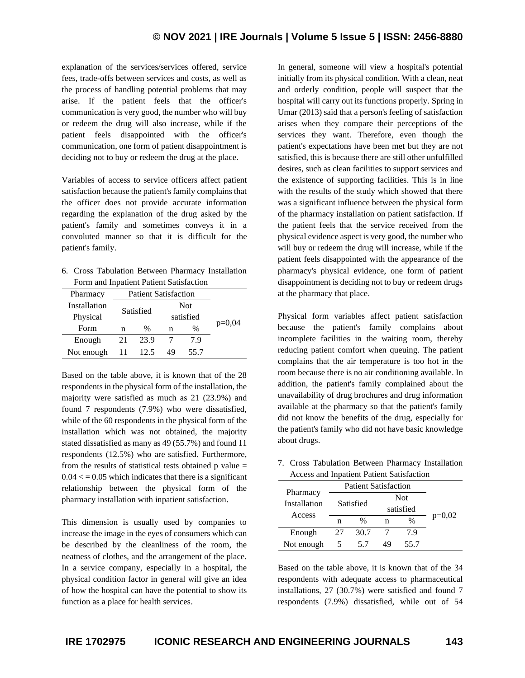explanation of the services/services offered, service fees, trade-offs between services and costs, as well as the process of handling potential problems that may arise. If the patient feels that the officer's communication is very good, the number who will buy or redeem the drug will also increase, while if the patient feels disappointed with the officer's communication, one form of patient disappointment is deciding not to buy or redeem the drug at the place.

Variables of access to service officers affect patient satisfaction because the patient's family complains that the officer does not provide accurate information regarding the explanation of the drug asked by the patient's family and sometimes conveys it in a convoluted manner so that it is difficult for the patient's family.

6. Cross Tabulation Between Pharmacy Installation Form and Inpatient Patient Satisfaction

| Pharmacy     |            | <b>Patient Satisfaction</b> |            |               |          |
|--------------|------------|-----------------------------|------------|---------------|----------|
| Installation |            | Satisfied                   | <b>Not</b> |               |          |
| Physical     |            |                             |            | satisfied     |          |
| Form         | n          | $\%$                        |            | $\frac{0}{0}$ | $p=0,04$ |
| Enough       | 23.9<br>21 |                             |            | 79            |          |
| Not enough   | 11         | 12.5                        | 49         | 55.7          |          |

Based on the table above, it is known that of the 28 respondents in the physical form of the installation, the majority were satisfied as much as 21 (23.9%) and found 7 respondents (7.9%) who were dissatisfied, while of the 60 respondents in the physical form of the installation which was not obtained, the majority stated dissatisfied as many as 49 (55.7%) and found 11 respondents (12.5%) who are satisfied. Furthermore, from the results of statistical tests obtained  $p$  value  $=$  $0.04 \leq 0.05$  which indicates that there is a significant relationship between the physical form of the pharmacy installation with inpatient satisfaction.

This dimension is usually used by companies to increase the image in the eyes of consumers which can be described by the cleanliness of the room, the neatness of clothes, and the arrangement of the place. In a service company, especially in a hospital, the physical condition factor in general will give an idea of how the hospital can have the potential to show its function as a place for health services.

In general, someone will view a hospital's potential initially from its physical condition. With a clean, neat and orderly condition, people will suspect that the hospital will carry out its functions properly. Spring in Umar (2013) said that a person's feeling of satisfaction arises when they compare their perceptions of the services they want. Therefore, even though the patient's expectations have been met but they are not satisfied, this is because there are still other unfulfilled desires, such as clean facilities to support services and the existence of supporting facilities. This is in line with the results of the study which showed that there was a significant influence between the physical form of the pharmacy installation on patient satisfaction. If the patient feels that the service received from the physical evidence aspect is very good, the number who will buy or redeem the drug will increase, while if the patient feels disappointed with the appearance of the pharmacy's physical evidence, one form of patient disappointment is deciding not to buy or redeem drugs at the pharmacy that place.

Physical form variables affect patient satisfaction because the patient's family complains about incomplete facilities in the waiting room, thereby reducing patient comfort when queuing. The patient complains that the air temperature is too hot in the room because there is no air conditioning available. In addition, the patient's family complained about the unavailability of drug brochures and drug information available at the pharmacy so that the patient's family did not know the benefits of the drug, especially for the patient's family who did not have basic knowledge about drugs.

7. Cross Tabulation Between Pharmacy Installation Access and Inpatient Patient Satisfaction

| 1100000 mm inputtont I mit in Damonath |                             |      |            |               |          |  |  |
|----------------------------------------|-----------------------------|------|------------|---------------|----------|--|--|
| Pharmacy<br>Installation<br>Access     | <b>Patient Satisfaction</b> |      |            |               |          |  |  |
|                                        | Satisfied                   |      | <b>Not</b> |               |          |  |  |
|                                        |                             |      | satisfied  |               |          |  |  |
|                                        | n                           | $\%$ | n          | $\frac{0}{0}$ | $p=0,02$ |  |  |
| Enough                                 | 27                          | 30.7 |            | 79            |          |  |  |
| Not enough                             | ↖                           | 57   | 49         | 55.7          |          |  |  |

Based on the table above, it is known that of the 34 respondents with adequate access to pharmaceutical installations, 27 (30.7%) were satisfied and found 7 respondents (7.9%) dissatisfied, while out of 54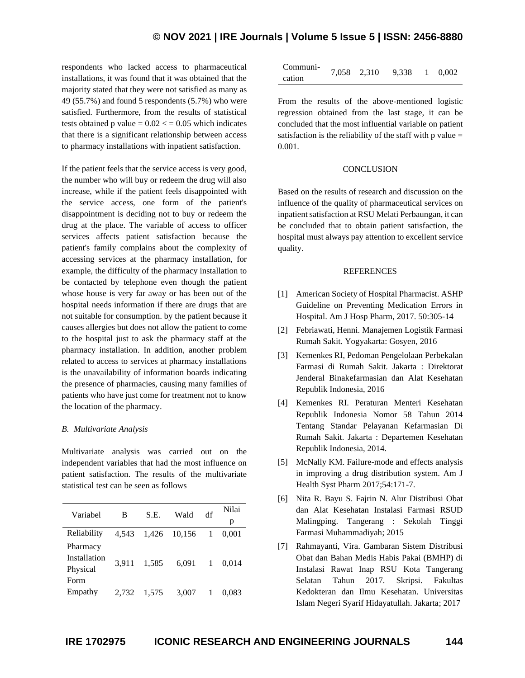# **© NOV 2021 | IRE Journals | Volume 5 Issue 5 | ISSN: 2456-8880**

respondents who lacked access to pharmaceutical installations, it was found that it was obtained that the majority stated that they were not satisfied as many as 49 (55.7%) and found 5 respondents (5.7%) who were satisfied. Furthermore, from the results of statistical tests obtained p value  $= 0.02 \le$  = 0.05 which indicates that there is a significant relationship between access to pharmacy installations with inpatient satisfaction.

If the patient feels that the service access is very good, the number who will buy or redeem the drug will also increase, while if the patient feels disappointed with the service access, one form of the patient's disappointment is deciding not to buy or redeem the drug at the place. The variable of access to officer services affects patient satisfaction because the patient's family complains about the complexity of accessing services at the pharmacy installation, for example, the difficulty of the pharmacy installation to be contacted by telephone even though the patient whose house is very far away or has been out of the hospital needs information if there are drugs that are not suitable for consumption. by the patient because it causes allergies but does not allow the patient to come to the hospital just to ask the pharmacy staff at the pharmacy installation. In addition, another problem related to access to services at pharmacy installations is the unavailability of information boards indicating the presence of pharmacies, causing many families of patients who have just come for treatment not to know the location of the pharmacy.

#### *B. Multivariate Analysis*

Multivariate analysis was carried out on the independent variables that had the most influence on patient satisfaction. The results of the multivariate statistical test can be seen as follows

| Variabel     | В     | S.E.  | Wald   | df | Nilai |
|--------------|-------|-------|--------|----|-------|
|              |       |       |        |    | p     |
| Reliability  | 4.543 | 1.426 | 10,156 | -1 | 0.001 |
| Pharmacy     |       |       |        |    |       |
| Installation | 3.911 | 1,585 | 6,091  | 1  | 0.014 |
| Physical     |       |       |        |    |       |
| Form         |       |       |        |    |       |
| Empathy      | 2.732 | 1.575 | 3,007  |    | 0.083 |

| Communi- | 7.058 2.310 | 9,338 1 0,002 |  |
|----------|-------------|---------------|--|
| cation   |             |               |  |

From the results of the above-mentioned logistic regression obtained from the last stage, it can be concluded that the most influential variable on patient satisfaction is the reliability of the staff with  $p$  value  $=$ 0.001.

#### **CONCLUSION**

Based on the results of research and discussion on the influence of the quality of pharmaceutical services on inpatient satisfaction at RSU Melati Perbaungan, it can be concluded that to obtain patient satisfaction, the hospital must always pay attention to excellent service quality.

#### REFERENCES

- [1] American Society of Hospital Pharmacist. ASHP Guideline on Preventing Medication Errors in Hospital. Am J Hosp Pharm, 2017. 50:305-14
- [2] Febriawati, Henni. Manajemen Logistik Farmasi Rumah Sakit. Yogyakarta: Gosyen, 2016
- [3] Kemenkes RI, Pedoman Pengelolaan Perbekalan Farmasi di Rumah Sakit. Jakarta : Direktorat Jenderal Binakefarmasian dan Alat Kesehatan Republik Indonesia, 2016
- [4] Kemenkes RI. Peraturan Menteri Kesehatan Republik Indonesia Nomor 58 Tahun 2014 Tentang Standar Pelayanan Kefarmasian Di Rumah Sakit. Jakarta : Departemen Kesehatan Republik Indonesia, 2014.
- [5] McNally KM. Failure-mode and effects analysis in improving a drug distribution system. Am J Health Syst Pharm 2017;54:171-7.
- [6] Nita R. Bayu S. Fajrin N. Alur Distribusi Obat dan Alat Kesehatan Instalasi Farmasi RSUD Malingping. Tangerang : Sekolah Tinggi Farmasi Muhammadiyah; 2015
- [7] Rahmayanti, Vira. Gambaran Sistem Distribusi Obat dan Bahan Medis Habis Pakai (BMHP) di Instalasi Rawat Inap RSU Kota Tangerang Selatan Tahun 2017. Skripsi. Fakultas Kedokteran dan Ilmu Kesehatan. Universitas Islam Negeri Syarif Hidayatullah. Jakarta; 2017